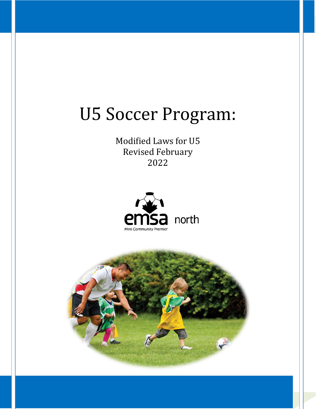# U5 Soccer Program:

Modified Laws for U5 Revised February 2022



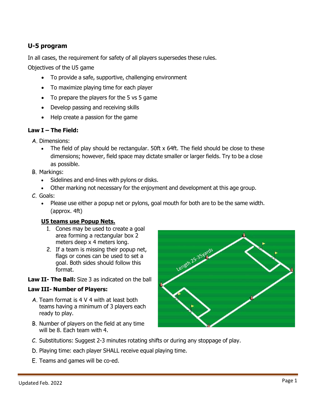## **U-5 program**

In all cases, the requirement for safety of all players supersedes these rules.

Objectives of the U5 game

- To provide a safe, supportive, challenging environment
- To maximize playing time for each player
- To prepare the players for the 5 vs 5 game
- Develop passing and receiving skills
- Help create a passion for the game

## **Law I – The Field:**

- A. Dimensions:
	- The field of play should be rectangular.  $50$ ft  $x$  64ft. The field should be close to these dimensions; however, field space may dictate smaller or larger fields. Try to be a close as possible.
- B. Markings:
	- Sidelines and end-lines with pylons or disks.
	- Other marking not necessary for the enjoyment and development at this age group.
- C. Goals:
	- Please use either a popup net or pylons, goal mouth for both are to be the same width. (approx. 4ft)

## **U5 teams use Popup Nets.**

- 1. Cones may be used to create a goal area forming a rectangular box 2 meters deep x 4 meters long.
- 2. If a team is missing their popup net, flags or cones can be used to set a goal. Both sides should follow this format.
- **Law II- The Ball:** Size 3 as indicated on the ball

## **Law III- Number of Players:**

- A. Team format is 4 V 4 with at least both teams having a minimum of 3 players each ready to play.
- B. Number of players on the field at any time will be 8. Each team with 4.



- D. Playing time: each player SHALL receive equal playing time.
- E. Teams and games will be co-ed.

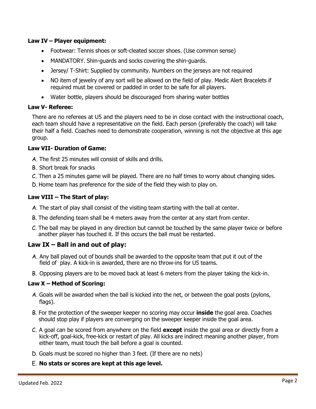#### **Law IV – Player equipment:**

- Footwear: Tennis shoes or soft-cleated soccer shoes. (Use common sense)
- MANDATORY. Shin-guards and socks covering the shin-guards.
- Jersey/ T-Shirt: Supplied by community. Numbers on the jerseys are not required
- NO item of jewelry of any sort will be allowed on the field of play. Medic Alert Bracelets if required must be covered or padded in order to be safe for all players.
- Water bottle, players should be discouraged from sharing water bottles

#### **Law V- Referee:**

There are no referees at U5 and the players need to be in close contact with the instructional coach, each team should have a representative on the field. Each person (preferably the coach) will take their half a field. Coaches need to demonstrate cooperation, winning is not the objective at this age group.

#### **Law VII- Duration of Game:**

- A. The first 25 minutes will consist of skills and drills.
- B. Short break for snacks
- C. Then a 25 minutes game will be played. There are no half times to worry about changing sides.
- D. Home team has preference for the side of the field they wish to play on.

## **Law VIII – The Start of play:**

- A. The start of play shall consist of the visiting team starting with the ball at center.
- B. The defending team shall be 4 meters away from the center at any start from center.
- C. The ball may be played in any direction but cannot be touched by the same player twice or before another player has touched it. If this occurs the ball must be restarted.

## **Law IX – Ball in and out of play:**

- A. Any ball played out of bounds shall be awarded to the opposite team that put it out of the field of play. A kick-in is awarded, there are no throw-ins for U5 teams.
- B. Opposing players are to be moved back at least 6 meters from the player taking the kick-in.

#### **Law X – Method of Scoring:**

- A. Goals will be awarded when the ball is kicked into the net, or between the goal posts (pylons, flags).
- B. For the protection of the sweeper keeper no scoring may occur **inside** the goal area. Coaches should stop play if players are converging on the sweeper keeper inside the goal area.
- C. A goal can be scored from anywhere on the field **except** inside the goal area or directly from a kick-off, goal-kick, free-kick or restart of play. All kicks are indirect meaning another player, from either team, must touch the ball before a goal is counted.
- D. Goals must be scored no higher than 3 feet. (If there are no nets)
- E. **No stats or scores are kept at this age level.**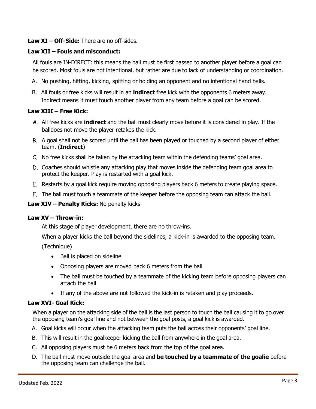## **Law XI – Off-Side:** There are no off-sides.

## **Law XII – Fouls and misconduct:**

All fouls are IN-DIRECT: this means the ball must be first passed to another player before a goal can be scored. Most fouls are not intentional, but rather are due to lack of understanding or coordination.

- A. No pushing, hitting, kicking, spitting or holding an opponent and no intentional hand balls.
- B. All fouls or free kicks will result in an **indirect** free kick with the opponents 6 meters away. Indirect means it must touch another player from any team before a goal can be scored.

## **Law XIII – Free Kick:**

- A. All free kicks are **indirect** and the ball must clearly move before it is considered in play. If the balldoes not move the player retakes the kick.
- B. A goal shall not be scored until the ball has been played or touched by a second player of either team. (**Indirect**)
- C. No free kicks shall be taken by the attacking team within the defending teams' goal area.
- D. Coaches should whistle any attacking play that moves inside the defending team goal area to protect the keeper. Play is restarted with a goal kick.
- E. Restarts by a goal kick require moving opposing players back 6 meters to create playing space.
- F. The ball must touch a teammate of the keeper before the opposing team can attack the ball.

#### **Law XIV – Penalty Kicks:** No penalty kicks

#### **Law XV – Throw-in:**

At this stage of player development, there are no throw-ins.

When a player kicks the ball beyond the sidelines, a kick-in is awarded to the opposing team.

(Technique)

- Ball is placed on sideline
- Opposing players are moved back 6 meters from the ball
- The ball must be touched by a teammate of the kicking team before opposing players can attach the ball
- If any of the above are not followed the kick-in is retaken and play proceeds.

#### **Law XVI- Goal Kick:**

When a player on the attacking side of the ball is the last person to touch the ball causing it to go over the opposing team's goal line and not between the goal posts, a goal kick is awarded.

- A. Goal kicks will occur when the attacking team puts the ball across their opponents' goal line.
- B. This will result in the goalkeeper kicking the ball from anywhere in the goal area.
- C. All opposing players must be 6 meters back from the top of the goal area.
- D. The ball must move outside the goal area and **be touched by a teammate of the goalie** before the opposing team can challenge the ball.